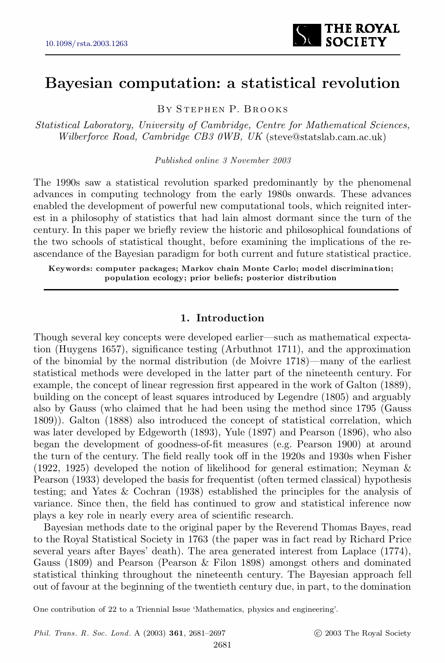## Bayesian computation: a statistical revolution

By Stephen P. Brooks

*Statistical Laboratory, University of Cambridge, Centre for Mathematical Sciences, Wilberforce Road, Cambridge CB3 0WB, UK* (steve@statslab.cam.ac.uk)

*Published online 3 November 2003*

The 1990s saw a statistical revolution sparked predominantly by the phenomenal advances in computing technology from the early 1980s onwards. These advances enabled the development of powerful new computational tools, which reignited interest in a philosophy of statistics that had lain almost dormant since the turn of the century. In this paper we briefly review the historic and philosophical foundations of the two schools of statistical thought, before examining the implications of the reascendance of the Bayesian paradigm for both current and future statistical practice.

Keywords: computer packages; Markov chain Monte Carlo; model discrimination; population ecology; prior beliefs; posterior distribution

#### 1. Introduction

Though several key concepts were developed earlier—such as mathematical expectation (Huygens 1657), significance testing (Arbuthnot 1711), and the approximation of the binomial by the normal distribution (de Moivre  $1718$ )—many of the earliest statistical methods were developed in the latter part of the nineteenth century. For example, the concept of linear regression first appeared in the work of Galton (1889), building on the concept of least squares introduced by Legendre (1805) and arguably also by Gauss (who claimed that he had been using the method since 1795 (Gauss 1809)). Galton (1888) also introduced the concept of statistical correlation, which was later developed by Edgeworth (1893), Yule (1897) and Pearson (1896), who also began the development of goodness-of-fit measures (e.g. Pearson 1900) at around the turn of the century. The field really took off in the 1920s and 1930s when Fisher  $(1922, 1925)$  developed the notion of likelihood for general estimation; Neyman & Pearson (1933) developed the basis for frequentist (often termed classical) hypothesis testing; and Yates & Cochran (1938) established the principles for the analysis of variance. Since then, the field has continued to grow and statistical inference now plays a key role in nearly every area of scientific research.

Bayesian methods date to the original paper by the Reverend Thomas Bayes, read to the Royal Statistical Society in 1763 (the paper was in fact read by Richard Price several years after Bayes' death). The area generated interest from Laplace (1774), Gauss (1809) and Pearson (Pearson & Filon 1898) amongst others and dominated statistical thinking throughout the nineteenth century. The Bayesian approach fell out of favour at the beginning of the twentieth century due, in part, to the domination

One contribution of 22 to a Triennial Issue `Mathematics, physics and engineering'.

*Phil. Trans. R. Soc. Lond.* A (2003) 361, 2681-2697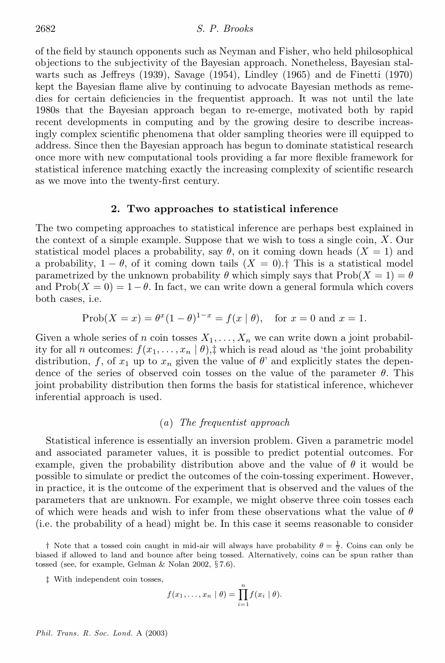of the field by staunch opponents such as Neyman and Fisher, who held philosophical objections to the subjectivity of the Bayesian approach. Nonetheless, Bayesian stalwarts such as Jeffreys (1939), Savage (1954), Lindley (1965) and de Finetti (1970) kept the Bayesian flame alive by continuing to advocate Bayesian methods as remedies for certain deficiencies in the frequentist approach. It was not until the late 1980s that the Bayesian approach began to re-emerge, motivated both by rapid recent developments in computing and by the growing desire to describe increasingly complex scientific phenomena that older sampling theories were ill equipped to address. Since then the Bayesian approach has begun to dominate statistical research once more with new computational tools providing a far more flexible framework for statistical inference matching exactly the increasing complexity of scientific research as we move into the twenty-first century.

#### 2. Two approaches to statistical inference

The two competing approaches to statistical inference are perhaps best explained in the context of a simple example. Suppose that we wish to toss a single coin,  $X$ . Our statistical model places a probability, say  $\theta$ , on it coming down heads  $(X = 1)$  and a probability,  $1 - \theta$ , of it coming down tails  $(X = 0)$ . This is a statistical model parametrized by the unknown probability  $\theta$  which simply says that  $Prob(X = 1) = \theta$ and  $\text{Prob}(X = 0) = 1 - \theta$ . In fact, we can write down a general formula which covers both cases, i.e.

$$
Prob(X = x) = \theta^x (1 - \theta)^{1 - x} = f(x | \theta), \text{ for } x = 0 \text{ and } x = 1.
$$

Given a whole series of n coin tosses  $X_1, \ldots, X_n$  we can write down a joint probability for all n outcomes:  $f(x_1, \ldots, x_n | \theta)$ , which is read aloud as 'the joint probability distribution, f, of  $x_1$  up to  $x_n$  given the value of  $\theta$ ' and explicitly states the dependence of the series of observed coin tosses on the value of the parameter  $\theta$ . This joint probability distribution then forms the basis for statistical inference, whichever inferential approach is used.

#### (*a*) *The frequentist approach*

Statistical inference is essentially an inversion problem. Given a parametric model and associated parameter values, it is possible to predict potential outcomes. For example, given the probability distribution above and the value of  $\theta$  it would be possible to simulate or predict the outcomes of the coin-tossing experiment. However, in practice, it is the outcome of the experiment that is observed and the values of the parameters that are unknown. For example, we might observe three coin tosses each of which were heads and wish to infer from these observations what the value of  $\theta$ (i.e. the probability of a head) might be. In this case it seems reasonable to consider

 $\dagger$  Note that a tossed coin caught in mid-air will always have probability  $\theta = \frac{1}{2}$ . Coins can only be biased if allowed to land and bounce after being tossed. Alternatively, coins can be spun rather than tossed (see, for example, Gelman  $\&$  Nolan 2002,  $\S 7.6$ ).

 $\ddagger$  With independent coin tosses,

$$
f(x_1,\ldots,x_n\mid\theta)=\prod_{i=1}^n f(x_i\mid\theta).
$$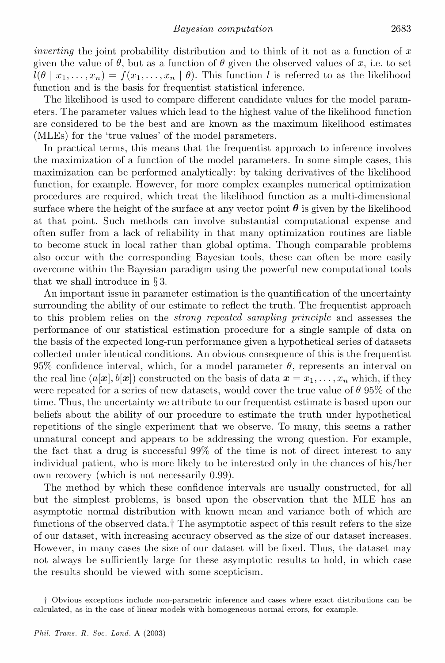*inverting* the joint probability distribution and to think of it not as a function of x given the value of  $\theta$ , but as a function of  $\theta$  given the observed values of x, i.e. to set  $l(\theta \mid x_1, \ldots, x_n) = f(x_1, \ldots, x_n \mid \theta)$ . This function l is referred to as the likelihood function and is the basis for frequentist statistical inference.

The likelihood is used to compare different candidate values for the model parameters. The parameter values which lead to the highest value of the likelihood function are considered to be the best and are known as the maximum likelihood estimates (MLEs) for the 'true values' of the model parameters.

In practical terms, this means that the frequentist approach to inference involves the maximization of a function of the model parameters. In some simple cases, this maximization can be performed analytically: by taking derivatives of the likelihood function, for example. However, for more complex examples numerical optimization procedures are required, which treat the likelihood function as a multi-dimensional surface where the height of the surface at any vector point  $\theta$  is given by the likelihood at that point. Such methods can involve substantial computational expense and often suffer from a lack of reliability in that many optimization routines are liable to become stuck in local rather than global optima. Though comparable problems also occur with the corresponding Bayesian tools, these can often be more easily overcome within the Bayesian paradigm using the powerful new computational tools that we shall introduce in  $\S 3$ .

An important issue in parameter estimation is the quantification of the uncertainty surrounding the ability of our estimate to reflect the truth. The frequentist approach to this problem relies on the *strong repeated sampling principle* and assesses the performance of our statistical estimation procedure for a single sample of data on the basis of the expected long-run performance given a hypothetical series of datasets collected under identical conditions. An obvious consequence of this is the frequentist 95% confidence interval, which, for a model parameter  $\theta$ , represents an interval on the real line  $(a[\mathbf{x}], b[\mathbf{x}])$  constructed on the basis of data  $\mathbf{x} = x_1, \ldots, x_n$  which, if they were repeated for a series of new datasets, would cover the true value of  $\theta$  95% of the time. Thus, the uncertainty we attribute to our frequentist estimate is based upon our beliefs about the ability of our procedure to estimate the truth under hypothetical repetitions of the single experiment that we observe. To many, this seems a rather unnatural concept and appears to be addressing the wrong question. For example, the fact that a drug is successful 99% of the time is not of direct interest to any individual patient, who is more likely to be interested only in the chances of his/her own recovery (which is not necessarily 0.99).

The method by which these confidence intervals are usually constructed, for all but the simplest problems, is based upon the observation that the MLE has an asymptotic normal distribution with known mean and variance both of which are functions of the observed data. $\dagger$  The asymptotic aspect of this result refers to the size of our dataset, with increasing accuracy observed as the size of our dataset increases. However, in many cases the size of our dataset will be fixed. Thus, the dataset may not always be sufficiently large for these asymptotic results to hold, in which case the results should be viewed with some scepticism.

y Obvious exceptions include non-parametric inference and cases where exact distributions can be calculated, as in the case of linear models with homogeneous normal errors, for example.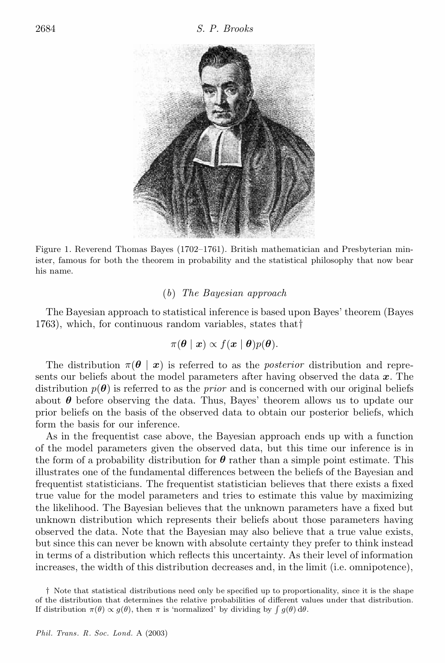

Figure 1. Reverend Thomas Bayes (1702–1761). British mathematician and Presbyterian minister, famous for both the theorem in probability and the statistical philosophy that now bear his name.

#### (*b*) *The Bayesian approach*

The Bayesian approach to statistical inference is based upon Bayes' theorem (Bayes 1763), which, for continuous random variables, states that

$$
\pi(\boldsymbol{\theta} \mid \boldsymbol{x}) \propto f(\boldsymbol{x} \mid \boldsymbol{\theta}) p(\boldsymbol{\theta}).
$$

The distribution  $\pi(\theta \mid x)$  is referred to as the *posterior* distribution and represents our beliefs about the model parameters after having observed the data *x*. The distribution  $p(\theta)$  is referred to as the *prior* and is concerned with our original beliefs about  $\theta$  before observing the data. Thus, Bayes' theorem allows us to update our prior beliefs on the basis of the observed data to obtain our posterior beliefs, which form the basis for our inference.

As in the frequentist case above, the Bayesian approach ends up with a function of the model parameters given the observed data, but this time our inference is in the form of a probability distribution for  $\theta$  rather than a simple point estimate. This illustrates one of the fundamental differences between the beliefs of the Bayesian and frequentist statisticians. The frequentist statistician believes that there exists a fixed true value for the model parameters and tries to estimate this value by maximizing the likelihood. The Bayesian believes that the unknown parameters have a fixed but unknown distribution which represents their beliefs about those parameters having observed the data. Note that the Bayesian may also believe that a true value exists, but since this can never be known with absolute certainty they prefer to think instead in terms of a distribution which reflects this uncertainty. As their level of information increases, the width of this distribution decreases and, in the limit (i.e. omnipotence),

 $\dagger$  Note that statistical distributions need only be specified up to proportionality, since it is the shape of the distribution that determines the relative probabilities of different values under that distribution. If distribution  $\pi(\theta) \propto q(\theta)$ , then  $\pi$  is 'normalized' by dividing by  $\int q(\theta) d\theta$ .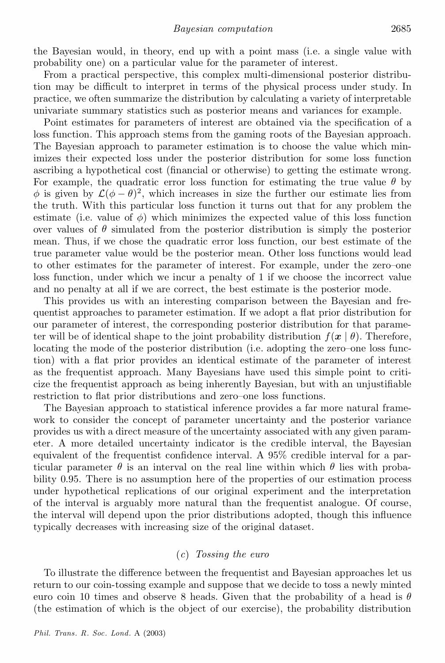the Bayesian would, in theory, end up with a point mass (i.e. a single value with probability one) on a particular value for the parameter of interest.

From a practical perspective, this complex multi-dimensional posterior distribution may be difficult to interpret in terms of the physical process under study. In practice, we often summarize the distribution by calculating a variety of interpretable univariate summary statistics such as posterior means and variances for example.

Point estimates for parameters of interest are obtained via the specification of a loss function. This approach stems from the gaming roots of the Bayesian approach. The Bayesian approach to parameter estimation is to choose the value which minimizes their expected loss under the posterior distribution for some loss function ascribing a hypothetical cost (financial or otherwise) to getting the estimate wrong. For example, the quadratic error loss function for estimating the true value  $\theta$  by  $\phi$  is given by  $\mathcal{L}(\phi - \theta)^2$ , which increases in size the further our estimate lies from the truth. With this particular loss function it turns out that for any problem the estimate (i.e. value of  $\phi$ ) which minimizes the expected value of this loss function over values of  $\theta$  simulated from the posterior distribution is simply the posterior mean. Thus, if we chose the quadratic error loss function, our best estimate of the true parameter value would be the posterior mean. Other loss functions would lead to other estimates for the parameter of interest. For example, under the zero-one loss function, under which we incur a penalty of 1 if we choose the incorrect value and no penalty at all if we are correct, the best estimate is the posterior mode.

This provides us with an interesting comparison between the Bayesian and frequentist approaches to parameter estimation. If we adopt a flat prior distribution for our parameter of interest, the corresponding posterior distribution for that parameter will be of identical shape to the joint probability distribution  $f(x | \theta)$ . Therefore, locating the mode of the posterior distribution (i.e. adopting the zero-one loss function) with a flat prior provides an identical estimate of the parameter of interest as the frequentist approach. Many Bayesians have used this simple point to criticize the frequentist approach as being inherently Bayesian, but with an unjustifiable restriction to flat prior distributions and zero-one loss functions.

The Bayesian approach to statistical inference provides a far more natural framework to consider the concept of parameter uncertainty and the posterior variance provides us with a direct measure of the uncertainty associated with any given parameter. A more detailed uncertainty indicator is the credible interval, the Bayesian equivalent of the frequentist confidence interval. A  $95\%$  credible interval for a particular parameter  $\theta$  is an interval on the real line within which  $\theta$  lies with probability 0.95. There is no assumption here of the properties of our estimation process under hypothetical replications of our original experiment and the interpretation of the interval is arguably more natural than the frequentist analogue. Of course, the interval will depend upon the prior distributions adopted, though this influence typically decreases with increasing size of the original dataset.

#### (*c*) *Tossing the euro*

To illustrate the difference between the frequentist and Bayesian approaches let us return to our coin-tossing example and suppose that we decide to toss a newly minted euro coin 10 times and observe 8 heads. Given that the probability of a head is  $\theta$ (the estimation of which is the object of our exercise), the probability distribution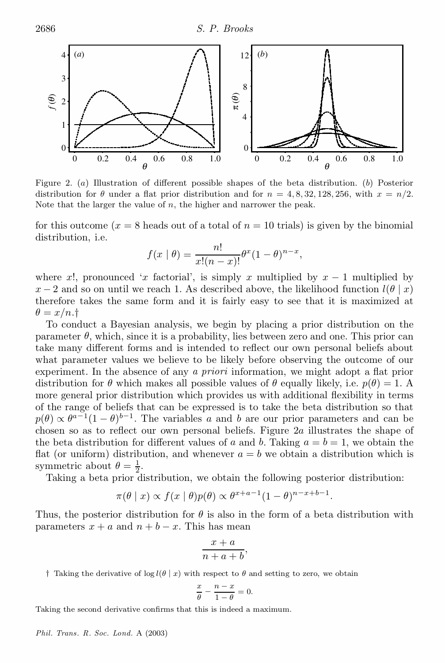

Figure 2. (a) Illustration of different possible shapes of the beta distribution. (b) Posterior distribution for  $\theta$  under a flat prior distribution and for  $n = 4, 8, 32, 128, 256$ , with  $x = n/2$ . Note that the larger the value of  $n$ , the higher and narrower the peak.

for this outcome  $(x = 8$  heads out of a total of  $n = 10$  trials) is given by the binomial distribution, i.e.

$$
f(x \mid \theta) = \frac{n!}{x!(n-x)!} \theta^x (1-\theta)^{n-x},
$$

where x!, pronounced 'x factorial', is simply x multiplied by  $x - 1$  multiplied by  $x - 2$  and so on until we reach 1. As described above, the likelihood function  $l(\theta | x)$ therefore takes the same form and it is fairly easy to see that it is maximized at  $\theta = x/n.$ †

To conduct a Bayesian analysis, we begin by placing a prior distribution on the parameter  $\theta$ , which, since it is a probability, lies between zero and one. This prior can take many different forms and is intended to reflect our own personal beliefs about what parameter values we believe to be likely before observing the outcome of our experiment. In the absence of any *a priori* information, we might adopt a flat prior distribution for  $\theta$  which makes all possible values of  $\theta$  equally likely, i.e.  $p(\theta) = 1$ . more general prior distribution which provides us with additional flexibility in terms of the range of beliefs that can be expressed is to take the beta distribution so that  $p(\theta) \propto \theta^{a-1}(1-\theta)^{b-1}$ . The variables a and b are our prior parameters and can be chosen so as to reflect our own personal beliefs. Figure  $2a$  illustrates the shape of the beta distribution for different values of a and b. Taking  $a = b = 1$ , we obtain the flat (or uniform) distribution, and whenever  $a = b$  we obtain a distribution which is symmetric about  $\theta = \frac{1}{2}$ .

Taking a beta prior distribution, we obtain the following posterior distribution:

$$
\pi(\theta \mid x) \propto f(x \mid \theta)p(\theta) \propto \theta^{x+a-1}(1-\theta)^{n-x+b-1}.
$$

Thus, the posterior distribution for  $\theta$  is also in the form of a beta distribution with parameters  $x + a$  and  $n + b - x$ . This has mean

$$
\frac{x+a}{n+a+b},
$$

Taking the derivative of  $\log l(\theta | x)$  with respect to  $\theta$  and setting to zero, we obtain

$$
\frac{x}{\theta} - \frac{n-x}{1-\theta} = 0.
$$

Taking the second derivative confirms that this is indeed a maximum.

*Phil. Trans. R. Soc. Lond.* A (2003)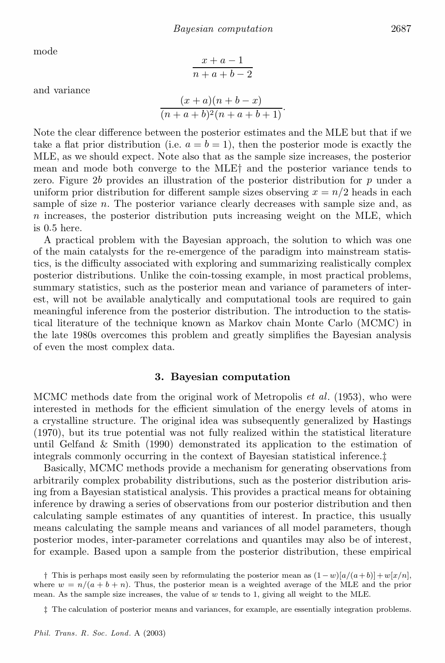mode

$$
\frac{x+a-1}{n+a+b-2}
$$

and variance

$$
\frac{(x+a)(n+b-x)}{(n+a+b)^2(n+a+b+1)}.
$$

Note the clear difference between the posterior estimates and the MLE but that if we take a flat prior distribution (i.e.  $a = b = 1$ ), then the posterior mode is exactly the MLE, as we should expect. Note also that as the sample size increases, the posterior mean and mode both converge to the MLE<sup>†</sup> and the posterior variance tends to zero. Figure 2b provides an illustration of the posterior distribution for  $p$  under a uniform prior distribution for different sample sizes observing  $x = n/2$  heads in each sample of size  $n$ . The posterior variance clearly decreases with sample size and, as  $n$  increases, the posterior distribution puts increasing weight on the MLE, which is  $0.5$  here.

A practical problem with the Bayesian approach, the solution to which was one of the main catalysts for the re-emergence of the paradigm into mainstream statistics, is the difficulty associated with exploring and summarizing realistically complex posterior distributions. Unlike the coin-tossing example, in most practical problems, summary statistics, such as the posterior mean and variance of parameters of interest, will not be available analytically and computational tools are required to gain meaningful inference from the posterior distribution. The introduction to the statistical literature of the technique known as Markov chain Monte Carlo (MCMC) in the late 1980s overcomes this problem and greatly simplifies the Bayesian analysis of even the most complex data.

#### 3. Bayesian computation

MCMC methods date from the original work of Metropolis *et al*. (1953), who were interested in methods for the efficient simulation of the energy levels of atoms in a crystalline structure. The original idea was subsequently generalized by Hastings (1970), but its true potential was not fully realized within the statistical literature until Gelfand & Smith (1990) demonstrated its application to the estimation of integrals commonly occurring in the context of Bayesian statistical inference. $\ddagger$ 

Basically, MCMC methods provide a mechanism for generating observations from arbitrarily complex probability distributions, such as the posterior distribution arising from a Bayesian statistical analysis. This provides a practical means for obtaining inference by drawing a series of observations from our posterior distribution and then calculating sample estimates of any quantities of interest. In practice, this usually means calculating the sample means and variances of all model parameters, though posterior modes, inter-parameter correlations and quantiles may also be of interest, for example. Based upon a sample from the posterior distribution, these empirical

 $\frac{1}{2}$  This is perhaps most easily seen by reformulating the posterior mean as  $(1-w)[a/(a+b)] + w[x/n]$ , where  $w = n/(a + b + n)$ . Thus, the posterior mean is a weighted average of the MLE and the prior mean. As the sample size increases, the value of *w* tends to 1, giving all weight to the MLE.

 $\ddagger$  The calculation of posterior means and variances, for example, are essentially integration problems.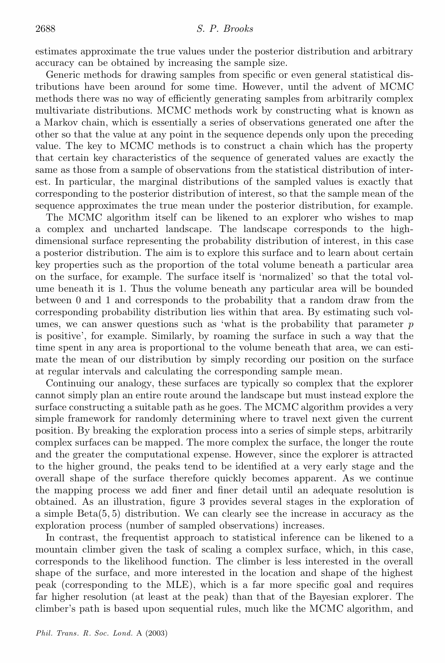estimates approximate the true values under the posterior distribution and arbitrary accuracy can be obtained by increasing the sample size.

Generic methods for drawing samples from specific or even general statistical distributions have been around for some time. However, until the advent of MCMC methods there was no way of efficiently generating samples from arbitrarily complex multivariate distributions. MCMC methods work by constructing what is known as a Markov chain, which is essentially a series of observations generated one after the other so that the value at any point in the sequence depends only upon the preceding value. The key to MCMC methods is to construct a chain which has the property that certain key characteristics of the sequence of generated values are exactly the same as those from a sample of observations from the statistical distribution of interest. In particular, the marginal distributions of the sampled values is exactly that corresponding to the posterior distribution of interest, so that the sample mean of the sequence approximates the true mean under the posterior distribution, for example.

The MCMC algorithm itself can be likened to an explorer who wishes to map a complex and uncharted landscape. The landscape corresponds to the highdimensional surface representing the probability distribution of interest, in this case a posterior distribution. The aim is to explore this surface and to learn about certain key properties such as the proportion of the total volume beneath a particular area on the surface, for example. The surface itself is `normalized' so that the total volume beneath it is 1. Thus the volume beneath any particular area will be bounded between 0 and 1 and corresponds to the probability that a random draw from the corresponding probability distribution lies within that area. By estimating such volumes, we can answer questions such as 'what is the probability that parameter  $p$ is positive', for example. Similarly, by roaming the surface in such a way that the time spent in any area is proportional to the volume beneath that area, we can estimate the mean of our distribution by simply recording our position on the surface at regular intervals and calculating the corresponding sample mean.

Continuing our analogy, these surfaces are typically so complex that the explorer cannot simply plan an entire route around the landscape but must instead explore the surface constructing a suitable path as he goes. The MCMC algorithm provides a very simple framework for randomly determining where to travel next given the current position. By breaking the exploration process into a series of simple steps, arbitrarily complex surfaces can be mapped. The more complex the surface, the longer the route and the greater the computational expense. However, since the explorer is attracted to the higher ground, the peaks tend to be identified at a very early stage and the overall shape of the surface therefore quickly becomes apparent. As we continue the mapping process we add finer and finer detail until an adequate resolution is obtained. As an illustration, figure 3 provides several stages in the exploration of a simple Beta(5; 5) distribution. We can clearly see the increase in accuracy as the exploration process (number of sampled observations) increases.

In contrast, the frequentist approach to statistical inference can be likened to a mountain climber given the task of scaling a complex surface, which, in this case, corresponds to the likelihood function. The climber is less interested in the overall shape of the surface, and more interested in the location and shape of the highest peak (corresponding to the MLE), which is a far more specific goal and requires far higher resolution (at least at the peak) than that of the Bayesian explorer. The climber's path is based upon sequential rules, much like the MCMC algorithm, and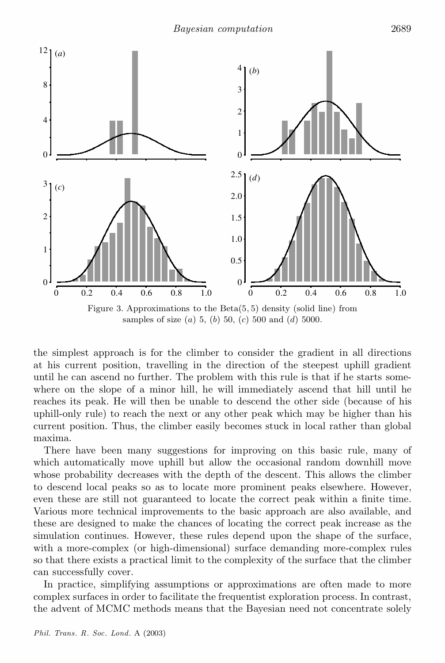

samples of size  $(a)$  5,  $(b)$  50,  $(c)$  500 and  $(d)$  5000.

the simplest approach is for the climber to consider the gradient in all directions at his current position, travelling in the direction of the steepest uphill gradient until he can ascend no further. The problem with this rule is that if he starts somewhere on the slope of a minor hill, he will immediately ascend that hill until he reaches its peak. He will then be unable to descend the other side (because of his uphill-only rule) to reach the next or any other peak which may be higher than his current position. Thus, the climber easily becomes stuck in local rather than global maxima.

There have been many suggestions for improving on this basic rule, many of which automatically move uphill but allow the occasional random downhill move whose probability decreases with the depth of the descent. This allows the climber to descend local peaks so as to locate more prominent peaks elsewhere. However, even these are still not guaranteed to locate the correct peak within a finite time. Various more technical improvements to the basic approach are also available, and these are designed to make the chances of locating the correct peak increase as the simulation continues. However, these rules depend upon the shape of the surface, with a more-complex (or high-dimensional) surface demanding more-complex rules so that there exists a practical limit to the complexity of the surface that the climber can successfully cover.

In practice, simplifying assumptions or approximations are often made to more complex surfaces in order to facilitate the frequentist exploration process. In contrast, the advent of MCMC methods means that the Bayesian need not concentrate solely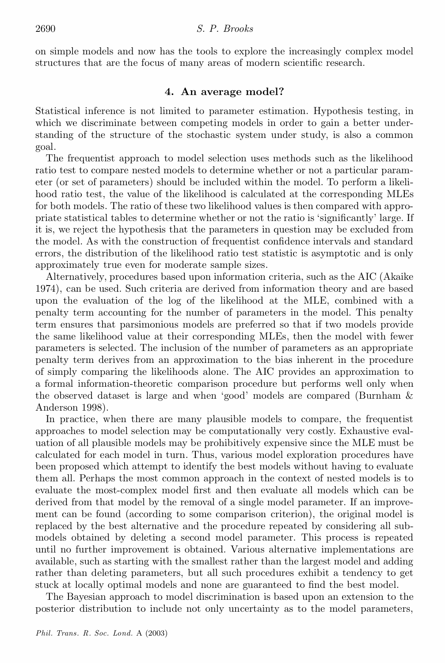on simple models and now has the tools to explore the increasingly complex model structures that are the focus of many areas of modern scientific research.

#### 4. An average model?

Statistical inference is not limited to parameter estimation. Hypothesis testing, in which we discriminate between competing models in order to gain a better understanding of the structure of the stochastic system under study, is also a common goal.

The frequentist approach to model selection uses methods such as the likelihood ratio test to compare nested models to determine whether or not a particular parameter (or set of parameters) should be included within the model. To perform a likelihood ratio test, the value of the likelihood is calculated at the corresponding MLEs for both models. The ratio of these two likelihood values is then compared with appropriate statistical tables to determine whether or not the ratio is 'significantly' large. If it is, we reject the hypothesis that the parameters in question may be excluded from the model. As with the construction of frequentist confidence intervals and standard errors, the distribution of the likelihood ratio test statistic is asymptotic and is only approximately true even for moderate sample sizes.

Alternatively, procedures based upon information criteria, such as the AIC (Akaike 1974), can be used. Such criteria are derived from information theory and are based upon the evaluation of the log of the likelihood at the MLE, combined with a penalty term accounting for the number of parameters in the model. This penalty term ensures that parsimonious models are preferred so that if two models provide the same likelihood value at their corresponding MLEs, then the model with fewer parameters is selected. The inclusion of the number of parameters as an appropriate penalty term derives from an approximation to the bias inherent in the procedure of simply comparing the likelihoods alone. The AIC provides an approximation to a formal information-theoretic comparison procedure but performs well only when the observed dataset is large and when `good' models are compared (Burnham & Anderson 1998).

In practice, when there are many plausible models to compare, the frequentist approaches to model selection may be computationally very costly. Exhaustive evaluation of all plausible models may be prohibitively expensive since the MLE must be calculated for each model in turn. Thus, various model exploration procedures have been proposed which attempt to identify the best models without having to evaluate them all. Perhaps the most common approach in the context of nested models is to evaluate the most-complex model first and then evaluate all models which can be derived from that model by the removal of a single model parameter. If an improvement can be found (according to some comparison criterion), the original model is replaced by the best alternative and the procedure repeated by considering all submodels obtained by deleting a second model parameter. This process is repeated until no further improvement is obtained. Various alternative implementations are available, such as starting with the smallest rather than the largest model and adding rather than deleting parameters, but all such procedures exhibit a tendency to get stuck at locally optimal models and none are guaranteed to find the best model.

The Bayesian approach to model discrimination is based upon an extension to the posterior distribution to include not only uncertainty as to the model parameters,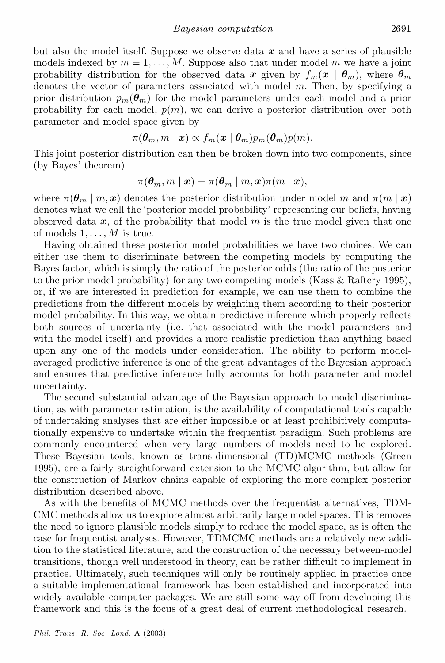but also the model itself. Suppose we observe data *x* and have a series of plausible models indexed by  $m = 1, \ldots, M$ . Suppose also that under model m we have a joint probability distribution for the observed data *x* given by  $f_m(x | \theta_m)$ , where  $\theta_m$ denotes the vector of parameters associated with model  $m$ . Then, by specifying a prior distribution  $p_m(\theta_m)$  for the model parameters under each model and a prior probability for each model,  $p(m)$ , we can derive a posterior distribution over both parameter and model space given by

$$
\pi(\boldsymbol{\theta}_m, m \mid \boldsymbol{x}) \propto f_m(\boldsymbol{x} \mid \boldsymbol{\theta}_m) p_m(\boldsymbol{\theta}_m) p(m).
$$

This joint posterior distribution can then be broken down into two components, since (by Bayes' theorem)

$$
\pi(\boldsymbol{\theta}_m, m \mid \boldsymbol{x}) = \pi(\boldsymbol{\theta}_m \mid m, \boldsymbol{x}) \pi(m \mid \boldsymbol{x}),
$$

where  $\pi(\theta_m \mid m, x)$  denotes the posterior distribution under model m and  $\pi(m \mid x)$ denotes what we call the 'posterior model probability' representing our beliefs, having observed data  $x$ , of the probability that model  $m$  is the true model given that one of models  $1, \ldots, M$  is true.

Having obtained these posterior model probabilities we have two choices. We can either use them to discriminate between the competing models by computing the Bayes factor, which is simply the ratio of the posterior odds (the ratio of the posterior to the prior model probability) for any two competing models (Kass & Raftery 1995), or, if we are interested in prediction for example, we can use them to combine the predictions from the different models by weighting them according to their posterior model probability. In this way, we obtain predictive inference which properly reflects both sources of uncertainty (i.e. that associated with the model parameters and with the model itself) and provides a more realistic prediction than anything based upon any one of the models under consideration. The ability to perform modelaveraged predictive inference is one of the great advantages of the Bayesian approach and ensures that predictive inference fully accounts for both parameter and model uncertainty.

The second substantial advantage of the Bayesian approach to model discrimination, as with parameter estimation, is the availability of computational tools capable of undertaking analyses that are either impossible or at least prohibitively computationally expensive to undertake within the frequentist paradigm. Such problems are commonly encountered when very large numbers of models need to be explored. These Bayesian tools, known as trans-dimensional (TD)MCMC methods (Green 1995), are a fairly straightforward extension to the MCMC algorithm, but allow for the construction of Markov chains capable of exploring the more complex posterior distribution described above.

As with the benefits of MCMC methods over the frequentist alternatives, TDM-CMC methods allow us to explore almost arbitrarily large model spaces. This removes the need to ignore plausible models simply to reduce the model space, as is often the case for frequentist analyses. However, TDMCMC methods are a relatively new addition to the statistical literature, and the construction of the necessary between-model transitions, though well understood in theory, can be rather difficult to implement in practice. Ultimately, such techniques will only be routinely applied in practice once a suitable implementational framework has been established and incorporated into widely available computer packages. We are still some way off from developing this framework and this is the focus of a great deal of current methodological research.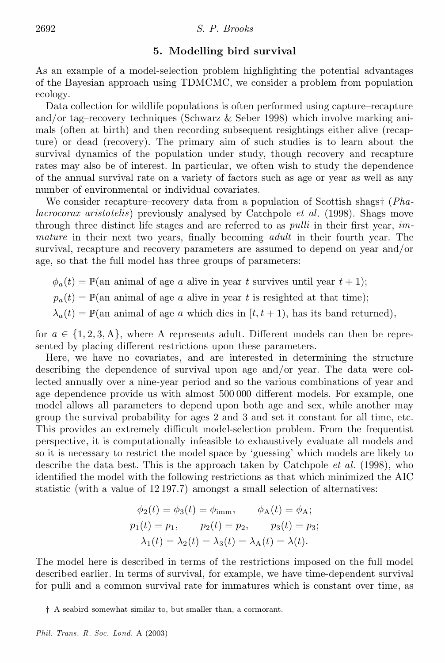#### 2692 *S. P. Brooks*

#### 5. Modelling bird survival

As an example of a model-selection problem highlighting the potential advantages of the Bayesian approach using TDMCMC, we consider a problem from population ecology.

Data collection for wildlife populations is often performed using capture-recapture and/or tag-recovery techniques (Schwarz  $\&$  Seber 1998) which involve marking animals (often at birth) and then recording subsequent resightings either alive (recapture) or dead (recovery). The primary aim of such studies is to learn about the survival dynamics of the population under study, though recovery and recapture rates may also be of interest. In particular, we often wish to study the dependence of the annual survival rate on a variety of factors such as age or year as well as any number of environmental or individual covariates.

We consider recapture–recovery data from a population of Scottish shags<sup>†</sup> (*Phalacrocorax aristotelis*) previously analysed by Catchpole *et al*. (1998). Shags move through three distinct life stages and are referred to as *pulli* in their first year, *immature* in their next two years, finally becoming *adult* in their fourth year. The survival, recapture and recovery parameters are assumed to depend on year and/or age, so that the full model has three groups of parameters:

 $\phi_a(t) = \mathbb{P}(\text{an animal of age } a \text{ alive in year } t \text{ survives until year } t+1);$ 

 $p_a(t) = \mathbb{P}(\text{an animal of age } a \text{ alive in year } t \text{ is registered at that time});$ 

 $\lambda_a(t) = \mathbb{P}(\text{an animal of age } a \text{ which dies in } [t, t+1], \text{ has its band returned}),$ 

for  $a \in \{1, 2, 3, A\}$ , where A represents adult. Different models can then be represented by placing different restrictions upon these parameters.

Here, we have no covariates, and are interested in determining the structure describing the dependence of survival upon age and/or year. The data were collected annually over a nine-year period and so the various combinations of year and age dependence provide us with almost 500 000 different models. For example, one model allows all parameters to depend upon both age and sex, while another may group the survival probability for ages 2 and 3 and set it constant for all time, etc. This provides an extremely difficult model-selection problem. From the frequentist perspective, it is computationally infeasible to exhaustively evaluate all models and so it is necessary to restrict the model space by `guessing' which models are likely to describe the data best. This is the approach taken by Catchpole *et al*. (1998), who identified the model with the following restrictions as that which minimized the AIC statistic (with a value of 12 197.7) amongst a small selection of alternatives:

$$
\phi_2(t) = \phi_3(t) = \phi_{\text{imm}}, \qquad \phi_A(t) = \phi_A; \np_1(t) = p_1, \qquad p_2(t) = p_2, \qquad p_3(t) = p_3; \lambda_1(t) = \lambda_2(t) = \lambda_3(t) = \lambda_4(t) = \lambda(t).
$$

The model here is described in terms of the restrictions imposed on the full model described earlier. In terms of survival, for example, we have time-dependent survival for pulli and a common survival rate for immatures which is constant over time, as

<sup>†</sup> A seabird somewhat similar to, but smaller than, a cormorant.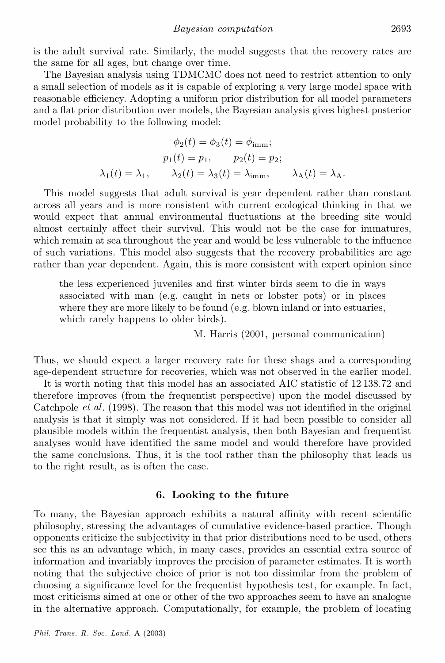is the adult survival rate. Similarly, the model suggests that the recovery rates are the same for all ages, but change over time.

The Bayesian analysis using TDMCMC does not need to restrict attention to only a small selection of models as it is capable of exploring a very large model space with reasonable efficiency. Adopting a uniform prior distribution for all model parameters and a flat prior distribution over models, the Bayesian analysis gives highest posterior model probability to the following model:

$$
\phi_2(t) = \phi_3(t) = \phi_{\text{imm}};
$$
  
\n
$$
p_1(t) = p_1, \qquad p_2(t) = p_2;
$$
  
\n
$$
\lambda_1(t) = \lambda_1, \qquad \lambda_2(t) = \lambda_3(t) = \lambda_{\text{imm}}, \qquad \lambda_A(t) = \lambda_A.
$$

This model suggests that adult survival is year dependent rather than constant across all years and is more consistent with current ecological thinking in that we would expect that annual environmental fluctuations at the breeding site would almost certainly affect their survival. This would not be the case for immatures, which remain at sea throughout the year and would be less vulnerable to the influence of such variations. This model also suggests that the recovery probabilities are age rather than year dependent. Again, this is more consistent with expert opinion since

the less experienced juveniles and first winter birds seem to die in ways associated with man (e.g. caught in nets or lobster pots) or in places where they are more likely to be found (e.g. blown inland or into estuaries, which rarely happens to older birds).

M. Harris (2001, personal communication)

Thus, we should expect a larger recovery rate for these shags and a corresponding age-dependent structure for recoveries, which was not observed in the earlier model.

It is worth noting that this model has an associated AIC statistic of 12 138.72 and therefore improves (from the frequentist perspective) upon the model discussed by Catchpole *et al.* (1998). The reason that this model was not identified in the original analysis is that it simply was not considered. If it had been possible to consider all plausible models within the frequentist analysis, then both Bayesian and frequentist analyses would have identified the same model and would therefore have provided the same conclusions. Thus, it is the tool rather than the philosophy that leads us to the right result, as is often the case.

#### 6. Looking to the future

To many, the Bayesian approach exhibits a natural affinity with recent scientific philosophy, stressing the advantages of cumulative evidence-based practice. Though opponents criticize the subjectivity in that prior distributions need to be used, others see this as an advantage which, in many cases, provides an essential extra source of information and invariably improves the precision of parameter estimates. It is worth noting that the subjective choice of prior is not too dissimilar from the problem of choosing a significance level for the frequentist hypothesis test, for example. In fact, most criticisms aimed at one or other of the two approaches seem to have an analogue in the alternative approach. Computationally, for example, the problem of locating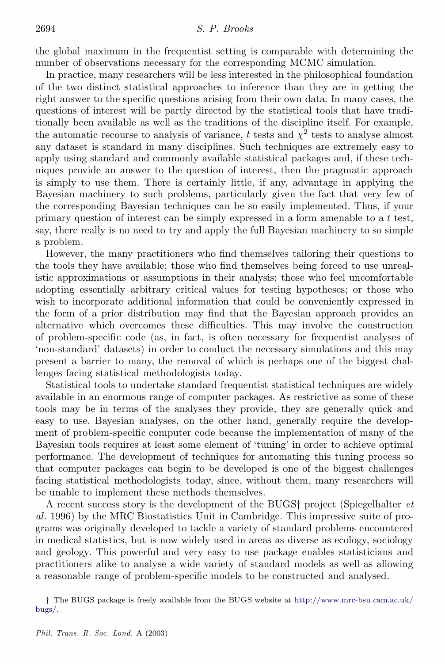the global maximum in the frequentist setting is comparable with determining the number of observations necessary for the corresponding MCMC simulation.

In practice, many researchers will be less interested in the philosophical foundation of the two distinct statistical approaches to inference than they are in getting the right answer to the specific questions arising from their own data. In many cases, the questions of interest will be partly directed by the statistical tools that have traditionally been available as well as the traditions of the discipline itself. For example, the automatic recourse to analysis of variance, t tests and  $\chi^2$  tests to analyse almost any dataset is standard in many disciplines. Such techniques are extremely easy to apply using standard and commonly available statistical packages and, if these techniques provide an answer to the question of interest, then the pragmatic approach is simply to use them. There is certainly little, if any, advantage in applying the Bayesian machinery to such problems, particularly given the fact that very few of the corresponding Bayesian techniques can be so easily implemented. Thus, if your primary question of interest can be simply expressed in a form amenable to a  $t$  test, say, there really is no need to try and apply the full Bayesian machinery to so simple a problem.

However, the many practitioners who find themselves tailoring their questions to the tools they have available; those who find themselves being forced to use unrealistic approximations or assumptions in their analysis; those who feel uncomfortable adopting essentially arbitrary critical values for testing hypotheses; or those who wish to incorporate additional information that could be conveniently expressed in the form of a prior distribution may find that the Bayesian approach provides an alternative which overcomes these difficulties. This may involve the construction of problem-specific code (as, in fact, is often necessary for frequentist analyses of `non-standard' datasets) in order to conduct the necessary simulations and this may present a barrier to many, the removal of which is perhaps one of the biggest challenges facing statistical methodologists today.

Statistical tools to undertake standard frequentist statistical techniques are widely available in an enormous range of computer packages. As restrictive as some of these tools may be in terms of the analyses they provide, they are generally quick and easy to use. Bayesian analyses, on the other hand, generally require the development of problem-specific computer code because the implementation of many of the Bayesian tools requires at least some element of `tuning' in order to achieve optimal performance. The development of techniques for automating this tuning process so that computer packages can begin to be developed is one of the biggest challenges facing statistical methodologists today, since, without them, many researchers will be unable to implement these methods themselves.

A recent success story is the development of the BUGS<sup>†</sup> project (Spiegelhalter *et al*. 1996) by the MRC Biostatistics Unit in Cambridge. This impressive suite of programs was originally developed to tackle a variety of standard problems encountered in medical statistics, but is now widely used in areas as diverse as ecology, sociology and geology. This powerful and very easy to use package enables statisticians and practitioners alike to analyse a wide variety of standard models as well as allowing a reasonable range of problem-specific models to be constructed and analysed.

y The BUGS package is freely available from the BUGS website at [http://www.mrc-bsu.cam.ac.uk/](http://www.mrc-bsu.cam.ac.uk/bugs/) [bugs/.](http://www.mrc-bsu.cam.ac.uk/bugs/)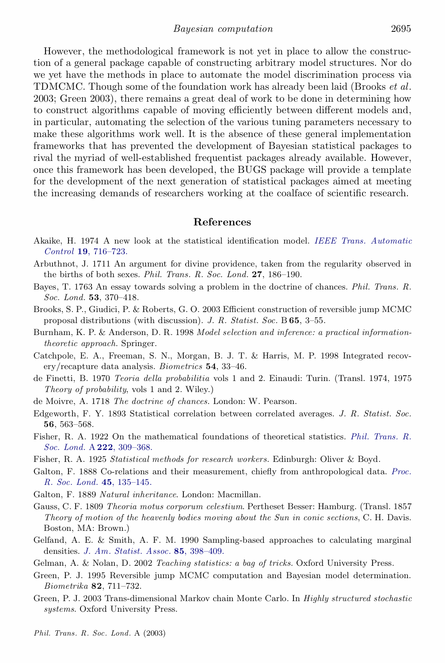However, the methodological framework is not yet in place to allow the construction of a general package capable of constructing arbitrary model structures. Nor do we yet have the methods in place to automate the model discrimination process via TDMCMC. Though some of the foundation work has already been laid (Brooks *et al*. 2003; Green 2003), there remains a great deal of work to be done in determining how to construct algorithms capable of moving efficiently between different models and, in particular, automating the selection of the various tuning parameters necessary to make these algorithms work well. It is the absence of these general implementation frameworks that has prevented the development of Bayesian statistical packages to rival the myriad of well-established frequentist packages already available. However, once this framework has been developed, the BUGS package will provide a template for the development of the next generation of statistical packages aimed at meeting the increasing demands of researchers working at the coalface of scientific research.

#### References

- Akaike, H. 1974 A new look at the statistical identification model. *IEEE Trans. [Automatic](http://www.ingentaselect.com/rpsv/cgi-bin/linker?ext=a&reqidx=/0018-9286^28^2919L.716[aid=32260]) Control* 19, 716-723.
- Arbuthnot, J. 1711 An argument for divine providence, taken from the regularity observed in the births of both sexes. *Phil. Trans. R. Soc. Lond.* 27, 186-190.
- Bayes, T. 1763 An essay towards solving a problem in the doctrine of chances. *Phil. Trans. R. Soc. Lond.* **53**, 370–418.
- Brooks, S. P., Giudici, P. & Roberts, G. O. 2003 Efficient construction of reversible jump MCMC proposal distributions (with discussion). *J. R. Statist. Soc.* B 65, 3–55.
- Burnham, K. P. & Anderson, D. R. 1998 *Model selection and inference: a practical informationtheoretic approach*. Springer.
- Catchpole, E. A., Freeman, S. N., Morgan, B. J. T. & Harris, M. P. 1998 Integrated recov ery/recapture data analysis. *Biometrics* 54, 33–46.
- de Finetti, B. 1970 *Teoria della probabilitia* vols 1 and 2. Einaudi: Turin. (Transl. 1974, 1975 *Theory of probability*, vols 1 and 2. Wiley.)
- de Moivre, A. 1718 *The doctrine of chances*. London: W. Pearson.
- Edgeworth, F. Y. 1893 Statistical correlation between correlated averages. *J. R. Statist. Soc.* 56,  $563-568$ .
- Fisher, R. A. 1922 On the mathematical foundations of theoretical statistics. *Phil. [Trans.](http://www.ingentaselect.com/rpsv/cgi-bin/linker?ext=a&reqidx=/1364-503X^28^29222L.309[aid=1182164]) R. Soc. Lond.* A 222, 309-368.
- Fisher, R. A. 1925 *Statistical methods for research workers*. Edinburgh: Oliver & Boyd.
- Galton, F. 1888 Co-relations and their measurement, chiefly from anthropological data. *[Proc.](http://www.ingentaselect.com/rpsv/cgi-bin/linker?ext=a&reqidx=/1364-5021^28^2945L.135[aid=5292984]) R. Soc. Lond.* 45, 135-145.
- Galton, F. 1889 *Natural inheritance*. London: Macmillan.
- Gauss, C. F. 1809 *Theoria motus corporum celestium*. Pertheset Besser: Hamburg. (Transl. 1857 *Theory of motion of the heavenly bodies moving about the Sun in conic sections*, C. H. Davis. Boston, MA: Brown.)
- Gelfand, A. E. & Smith, A. F. M. 1990 Sampling-based approaches to calculating marginal densities. *J. Am. Statist. Assoc.* 85, 398-409.
- Gelman, A. & Nolan, D. 2002 *Teaching statistics: a bag of tricks*. Oxford University Press.
- Green, P. J. 1995 Reversible jump MCMC computation and Bayesian model determination. *Biometrika* 82, 711-732.
- Green, P. J. 2003 Trans-dimensional Markov chain Monte Carlo. In *Highly structured stochastic systems*. Oxford University Press.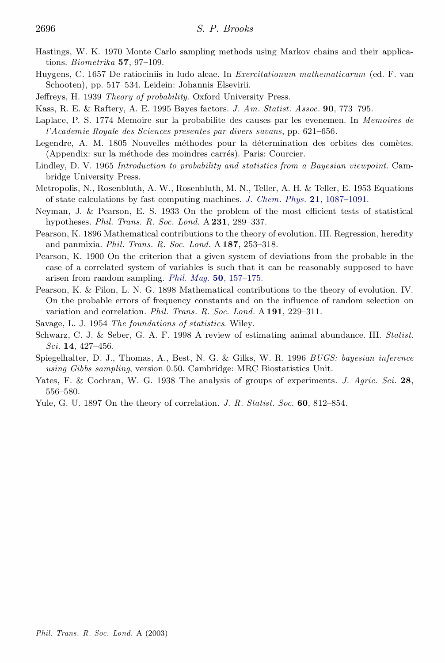- Hastings, W. K. 1970 Monte Carlo sampling methods using Markov chains and their applications. *Biometrika* 57, 97-109.
- Huygens, C. 1657 De ratiociniis in ludo aleae. In *Exercitationum mathematicarum* (ed. F. van Schooten), pp. 517–534. Leidein: Johannis Elsevirii.
- Jeffreys, H. 1939 *Theory of probability*. Oxford University Press.
- Kass, R. E. & Raftery, A. E. 1995 Bayes factors. *J. Am. Statist. Assoc.* **90**, 773–795.
- Laplace, P. S. 1774 Memoire sur la probabilite des causes par les evenemen. In *Memoires de l'Academie Royale des Sciences presentes par divers savans*, pp. 621-656.
- Legendre, A. M. 1805 Nouvelles méthodes pour la détermination des orbites des comètes. (Appendix: sur la méthode des moindres carrés). Paris: Courcier.
- Lindley, D. V. 1965 *Introduction to probability and statistics from aBayesian viewpoint*. Cambridge University Press.
- Metropolis, N., Rosenbluth, A. W., Rosenbluth, M. N., Teller, A. H. & Teller, E. 1953 Equations of state calculations by fast computing machines. *J. Chem. Phys.* **21**, 1087–1091.
- Neyman, J. & Pearson, E. S. 1933 On the problem of the most efficient tests of statistical hypotheses. *Phil. Trans. R. Soc. Lond.* A **231**, 289–337.
- Pearson, K. 1896 Mathematical contributions to the theory of evolution. III. Regression, heredity and panmixia. *Phil. Trans. R. Soc. Lond.* A 187, 253-318.
- Pearson, K. 1900 On the criterion that a given system of deviations from the probable in the case of a correlated system of variables is such that it can be reasonably supposed to have arisen from random sampling. *Phil. Mag.* 50, 157–175.
- Pearson, K. & Filon, L. N. G. 1898 Mathematical contributions to the theory of evolution. IV. On the probable errors of frequency constants and on the influence of random selection on variation and correlation. *Phil. Trans. R. Soc. Lond.* A 191, 229-311.
- Savage, L. J. 1954 *The foundations of statistics*. Wiley.
- Schwarz, C. J. & Seber, G. A. F. 1998 A review of estimating animal abundance. III. *Statist. Sci.* **14**,  $427-456$ .
- Spiegelhalter, D. J., Thomas, A., Best, N. G. & Gilks, W. R. 1996 *BUGS: bayesian inference using Gibbs sampling*, version 0.50. Cambridge: MRC Biostatistics Unit.
- Yates, F. & Cochran, W. G. 1938 The analysis of groups of experiments. *J. Agric. Sci.* 28, 556-580.
- Yule, G. U. 1897 On the theory of correlation. *J. R. Statist. Soc.* **60**, 812–854.